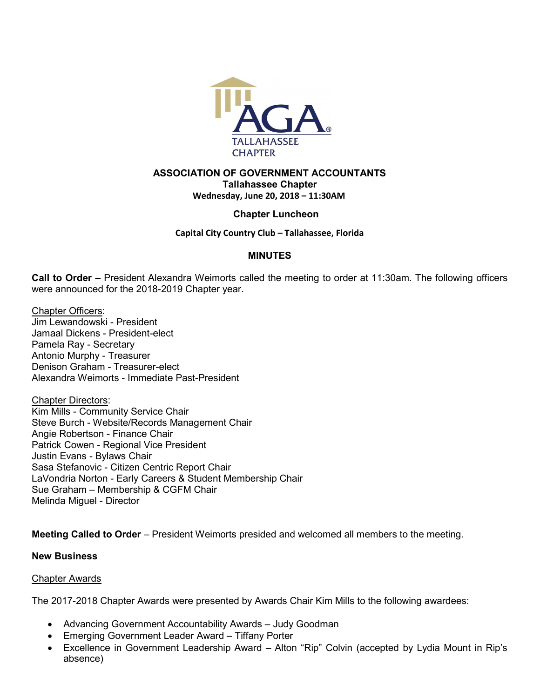

# ASSOCIATION OF GOVERNMENT ACCOUNTANTS Tallahassee Chapter Wednesday, June 20, 2018 – 11:30AM

# Chapter Luncheon

## Capital City Country Club – Tallahassee, Florida

## MINUTES

Call to Order – President Alexandra Weimorts called the meeting to order at 11:30am. The following officers were announced for the 2018-2019 Chapter year.

Chapter Officers: Jim Lewandowski - President Jamaal Dickens - President-elect Pamela Ray - Secretary Antonio Murphy - Treasurer Denison Graham - Treasurer-elect Alexandra Weimorts - Immediate Past-President

Chapter Directors: Kim Mills - Community Service Chair Steve Burch - Website/Records Management Chair Angie Robertson - Finance Chair Patrick Cowen - Regional Vice President Justin Evans - Bylaws Chair Sasa Stefanovic - Citizen Centric Report Chair LaVondria Norton - Early Careers & Student Membership Chair Sue Graham – Membership & CGFM Chair Melinda Miguel - Director

Meeting Called to Order – President Weimorts presided and welcomed all members to the meeting.

#### New Business

## Chapter Awards

The 2017-2018 Chapter Awards were presented by Awards Chair Kim Mills to the following awardees:

- Advancing Government Accountability Awards Judy Goodman
- Emerging Government Leader Award Tiffany Porter
- Excellence in Government Leadership Award Alton "Rip" Colvin (accepted by Lydia Mount in Rip's absence)